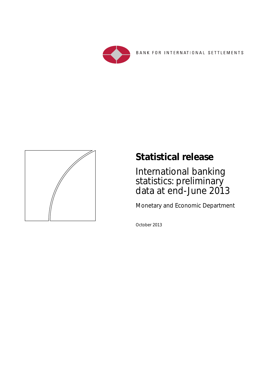

BANK FOR INTERNATIONAL SETTLEMENTS



# **Statistical release**

International banking statistics: preliminary data at end-June 2013

Monetary and Economic Department

October 2013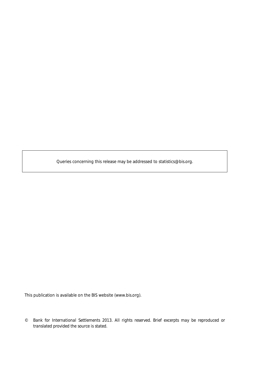Queries concerning this release may be addressed to statistics@bis.org.

This publication is available on the BIS website (www.bis.org).

*<sup>©</sup> Bank for International Settlements 2013. All rights reserved. Brief excerpts may be reproduced or translated provided the source is stated.*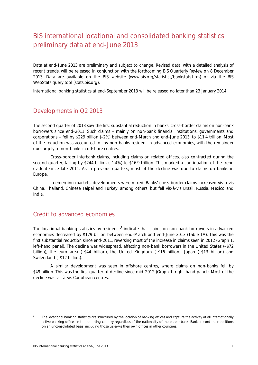## BIS international locational and consolidated banking statistics: preliminary data at end-June 2013

Data at end-June 2013 are preliminary and subject to change. Revised data, with a detailed analysis of recent trends, will be released in conjunction with the forthcoming *BIS Quarterly Review* on 8 December 2013. Data are available on the BIS website (www.bis.org/statistics/bankstats.htm) or via the BIS WebStats query tool (stats.bis.org).

International banking statistics at end-September 2013 will be released no later than 23 January 2014.

### Developments in Q2 2013

The second quarter of 2013 saw the first substantial reduction in banks' cross-border claims on *non-bank* borrowers since end-2011. Such claims – mainly on non-bank financial institutions, governments and corporations – fell by \$229 billion (–2%) between end-March and end-June 2013, to \$11.4 trillion. Most of the reduction was accounted for by non-banks resident in advanced economies, with the remainder due largely to non-banks in offshore centres.

Cross-border *interbank* claims, including claims on related offices, also contracted during the second quarter, falling by \$244 billion (–1.4%) to \$16.9 trillion. This marked a continuation of the trend evident since late 2011. As in previous quarters, most of the decline was due to claims on banks in Europe.

In emerging markets, developments were mixed. Banks' cross-border claims increased vis-à-vis China, Thailand, Chinese Taipei and Turkey, among others, but fell vis-à-vis Brazil, Russia, Mexico and India.

### Credit to advanced economies

The locational banking statistics by residence<sup>1</sup> indicate that claims on non-bank borrowers in advanced economies decreased by \$179 billion between end-March and end-June 2013 (Table 1A). This was the first substantial reduction since end-2011, reversing most of the increase in claims seen in 2012 (Graph 1, left-hand panel). The decline was widespread, affecting non-bank borrowers in the United States (–\$72 billion), the euro area (–\$44 billion), the United Kingdom (–\$16 billion), Japan (–\$13 billion) and Switzerland (–\$12 billion).

A similar development was seen in offshore centres, where claims on non-banks fell by \$49 billion. This was the first quarter of decline since mid-2012 (Graph 1, right-hand panel). Most of the decline was vis-à-vis Caribbean centres.

<sup>1</sup> The locational banking statistics are structured by the location of banking offices and capture the activity of all internationally active banking offices in the reporting country regardless of the nationality of the parent bank. Banks record their positions on an unconsolidated basis, including those vis-à-vis their own offices in other countries.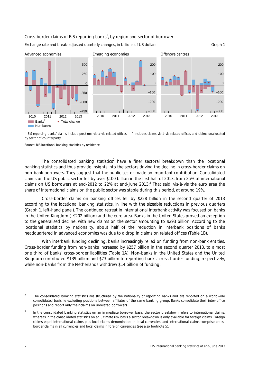#### Cross-border claims of BIS reporting banks<sup>1</sup>, by region and sector of borrower Exchange rate and break-adjusted quarterly changes, in billions of US dollars Graph 1 Graph 1 Advanced economies Emerging economies Offshore centres –500 –250  $\Omega$ 250 500 –200 –100  $\Omega$ 100 200 –200 –100 0 100 200

<sup>1</sup> BIS reporting banks' claims include positions vis-à-vis related offices. <sup>2</sup> Includes claims vis-à-vis related offices and claims unallocated by sector of counterparty.

2010 2011 2012 2013

 $1 - 300$ 

 $\pm$  1  $\blacksquare$  $1 - 1 - 1$   $11 - 300$ 

2010 2011 2012 2013

Source: BIS locational banking statistics by residence.

 $1 - 1 = 1$ 

• Total change

2010 2011 2012 2013

 $1 - 1 = 1$ 

**Banks**<sup>2</sup> **Non-banks** 

 $1 - 1 - 1$ 

 $1 - 750$ 

 $1 - 1 - 1$ 

The consolidated banking statistics<sup>2</sup> have a finer sectoral breakdown than the locational banking statistics and thus provide insights into the sectors driving the decline in cross-border claims on non-bank borrowers. They suggest that the public sector made an important contribution. Consolidated claims on the US public sector fell by over \$100 billion in the first half of 2013, from 25% of international claims on US borrowers at end-2012 to 22% at end-June 2013. $^3$  That said, vis-à-vis the euro area the share of international claims on the public sector was stable during this period, at around 19%.

Cross-border claims on banking offices fell by \$228 billion in the second quarter of 2013 according to the locational banking statistics, in line with the sizeable reductions in previous quarters (Graph 1, left-hand panel). The continued retreat in international interbank activity was focused on banks in the United Kingdom (–\$202 billion) and the euro area. Banks in the United States proved an exception to the generalised decline, with new claims on the sector amounting to \$293 billion. According to the locational statistics by nationality, about half of the reduction in interbank positions of banks headquartered in advanced economies was due to a drop in claims on related offices (Table 1B).

With interbank funding declining, banks increasingly relied on funding from non-bank entities. Cross-border funding from non-banks increased by \$257 billion in the second quarter 2013, to almost one third of banks' cross-border liabilities (Table 1A). Non-banks in the United States and the United Kingdom contributed \$139 billion and \$73 billion to reporting banks' cross-border funding, respectively, while non-banks from the Netherlands withdrew \$14 billion of funding.

<sup>2</sup> The consolidated banking statistics are structured by the nationality of reporting banks and are reported on a worldwide consolidated basis, ie excluding positions between affiliates of the same banking group. Banks consolidate their inter-office positions and report only their claims on unrelated borrowers.

<sup>3</sup> In the consolidated banking statistics on an immediate borrower basis, the sector breakdown refers to international claims, whereas in the consolidated statistics on an ultimate risk basis a sector breakdown is only available for foreign claims. Foreign claims equal international claims plus local claims denominated in local currencies, and international claims comprise crossborder claims in all currencies and local claims in foreign currencies (see also footnote 5).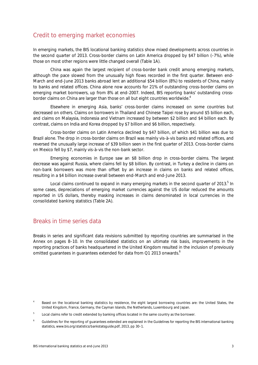### Credit to emerging market economies

In emerging markets, the BIS locational banking statistics show mixed developments across countries in the second quarter of 2013. Cross-border claims on Latin America dropped by \$47 billion (–7%), while those on most other regions were little changed overall (Table 1A).

China was again the largest recipient of cross-border bank credit among emerging markets, although the pace slowed from the unusually high flows recorded in the first quarter. Between end-March and end-June 2013 banks abroad lent an additional \$54 billion (8%) to residents of China, mainly to banks and related offices. China alone now accounts for 21% of outstanding cross-border claims on emerging market borrowers, up from 8% at end-2007. Indeed, BIS reporting banks' outstanding crossborder claims on China are larger than those on all but eight countries worldwide.<sup>4</sup>

Elsewhere in emerging Asia, banks' cross-border claims increased on some countries but decreased on others. Claims on borrowers in Thailand and Chinese Taipei rose by around \$5 billion each, and claims on Malaysia, Indonesia and Vietnam increased by between \$2 billion and \$4 billion each. By contrast, claims on India and Korea dropped by \$7 billion and \$6 billion, respectively.

Cross-border claims on Latin America declined by \$47 billion, of which \$41 billion was due to Brazil alone. The drop in cross-border claims on Brazil was mainly vis-à-vis banks and related offices, and reversed the unusually large increase of \$39 billion seen in the first quarter of 2013. Cross-border claims on Mexico fell by \$7, mainly vis-à-vis the non-bank sector.

Emerging economies in Europe saw an \$8 billion drop in cross-border claims. The largest decrease was against Russia, where claims fell by \$8 billion. By contrast, in Turkey a decline in claims on non-bank borrowers was more than offset by an increase in claims on banks and related offices, resulting in a \$4 billion increase overall between end-March and end-June 2013.

Local claims continued to expand in many emerging markets in the second quarter of 2013.<sup>5</sup> In some cases, depreciations of emerging market currencies against the US dollar reduced the amounts reported in US dollars, thereby masking increases in claims denominated in local currencies in the consolidated banking statistics (Table 2A).

### Breaks in time series data

Breaks in series and significant data revisions submitted by reporting countries are summarised in the Annex on pages 8–10. In the consolidated statistics on an ultimate risk basis, improvements in the reporting practices of banks headquartered in the United Kingdom resulted in the inclusion of previously omitted guarantees in guarantees extended for data from Q1 2013 onwards.<sup>6</sup>

<sup>4</sup> Based on the locational banking statistics by residence, the eight largest borrowing countries are: the United States, the United Kingdom, France, Germany, the Cayman Islands, the Netherlands, Luxembourg and Japan.

<sup>5</sup> Local claims refer to credit extended by banking offices located in the same country as the borrower.

<sup>6</sup> Guidelines for the reporting of guarantees extended are explained in the *Guidelines for reporting the BIS international banking statistics,* www.bis.org/statistics/bankstatsguide.pdf, 2013, pp 30–1.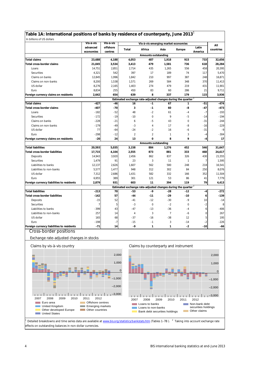|                                           |                       |                     |                |                                                                          | Vis-à-vis emerging market economies |              |                  | All       |
|-------------------------------------------|-----------------------|---------------------|----------------|--------------------------------------------------------------------------|-------------------------------------|--------------|------------------|-----------|
|                                           | advanced<br>economies | offshore<br>centres | Total          | Africa                                                                   | Asia                                | Europe       | Latin<br>America | countries |
|                                           |                       |                     |                | Amounts outstanding                                                      |                                     |              |                  |           |
| <b>Total claims</b>                       | 23,688                | 4,188               | 4,053          | 487                                                                      | 1,918                               | 915          | 733              | 32,656    |
| <b>Total cross-border claims</b>          | 21,045                | 3,534               | 3,413          | 479                                                                      | 1,581                               | 736          | 618              | 28,284    |
| Loans                                     | 14,751                | 2,851               | 2,714          | 435                                                                      | 1,265                               | 556          | 458              | 20,395    |
| Securities                                | 4,321                 | 542                 | 397            | 17                                                                       | 189                                 | 74           | 117              | 5,470     |
| Claims on banks                           | 12,845                | 1,996               | 1,842          | 210                                                                      | 997                                 | 387          | 248              | 16,871    |
| Claims on non-banks                       | 8,200                 | 1,538               | 1,571          | 269                                                                      | 584                                 | 348          | 370              | 11,413    |
| US dollar                                 | 8,276                 | 2,165               | 1,403          | 274                                                                      | 479                                 | 219          | 431              | 11,901    |
| Euro                                      | 8,834                 | 255                 | 450            | 83                                                                       | 60                                  | 286          | 21               | 9,711     |
| Foreign currency claims on residents      | 2,642                 | 654                 | 639            | 8                                                                        | 337                                 | 179          | 115              | 3,936     |
|                                           |                       |                     |                | Estimated exchange rate-adjusted changes during the quarter <sup>2</sup> |                                     |              |                  |           |
| <b>Total claims</b>                       | $-427$                | $-46$               | 16             | $-1$                                                                     | 67                                  | 1            | $-51$            | $-474$    |
| <b>Total cross-border claims</b>          | $-407$                | $-70$               | 3              | $-1$                                                                     | 60                                  | -8           | $-47$            | $-473$    |
| Loans                                     | $-182$                | $-52$               | 48             | $-2$                                                                     | 61                                  | $-4$         | $-7$             | $-193$    |
| Securities                                | $-172$                | $-19$               | $-10$          | $\mathbf 0$                                                              | 9                                   | $-5$         | $-14$            | $-194$    |
| Claims on banks                           | $-228$                | $-21$               | 6              | -5                                                                       | 43                                  | $\mathbf 0$  | $-31$            | $-244$    |
| Claims on non-banks                       | $-179$                | $-49$               | -3             | $\overline{4}$                                                           | 17                                  | -8           | $-16$            | $-229$    |
| US dollar                                 | 77                    | -64                 | $-24$          | -2                                                                       | 16                                  | -6           | $-31$            | $-9$      |
| Euro                                      | $-298$                | -12                 | $\overline{2}$ | $\overline{2}$                                                           | 1                                   | 3            | $-4$             | $-304$    |
| Foreign currency claims on residents      | $-20$                 | 24                  | 13             | 0<br><b>Amounts outstanding</b>                                          | 8                                   | 9            | $-4$             | 17        |
| <b>Total liabilities</b>                  | 20,593                | 5,035               | 3,158          | 884                                                                      | 1,276                               | 452          | 546              | 31,647    |
| <b>Total cross-border liabilities</b>     | 17,715                | 4,104               | 2,555          | 873                                                                      | 881                                 | 333          | 468              | 24,617    |
| Deposits                                  | 14,943                | 3,920               | 2,456          | 862                                                                      | 837                                 | 326          | 430              | 21,555    |
| Securities                                | 1,479                 | 91                  | 23             | 3                                                                        | 11                                  | $\mathbf{1}$ | $\overline{7}$   | 1,595     |
| Liabilities to banks                      | 12,137                | 2,626               | 1,607          | 562                                                                      | 580                                 | 248          | 218              | 16,541    |
| Liabilities to non-banks                  | 5,577                 | 1,477               | 948            | 312                                                                      | 302                                 | 84           | 250              | 8,076     |
| US dollar                                 | 7,312                 | 2,686               | 1,431          | 582                                                                      | 332                                 | 166          | 352              | 11,504    |
| Euro                                      | 6,955                 | 389                 | 301            | 121                                                                      | 53                                  | 86           | 41               | 7,779     |
| Foreign currency liabilities to residents | 2,879                 | 931                 | 603            | 11                                                                       | 394                                 | 119          | 79               | 4,413     |
|                                           |                       |                     |                | Estimated exchange rate-adjusted changes during the quarter <sup>2</sup> |                                     |              |                  |           |
| <b>Total liabilities</b>                  | $-213$                | 70                  | -53            | $-9$                                                                     | -28                                 | $-12$        | $-4$             | $-272$    |
| <b>Total cross-border liabilities</b>     | $-142$                | 57                  | -44            | $-11$                                                                    | $-29$                               | $-10$        | 6                | $-139$    |
| Deposits                                  | $-15$                 | 52                  | -41            | $-12$                                                                    | $-30$                               | $-9$         | 10               | $-14$     |
| Securities                                |                       | 5                   | $-3$           | $\mathbf 0$                                                              | $-2$                                | $\mathbf 0$  | $-2$             | 8         |
| Liabilities to banks                      | -399                  | 43                  | -47            | $-13$                                                                    | $-36$                               | $-4$         | 6                | $-406$    |
| Liabilities to non-banks                  | 257                   | 14                  | 4              | 3                                                                        | $\overline{7}$                      | -6           | 0                | 267       |
| US dollar                                 | 165                   | 68                  | $-37$          | $-16$                                                                    | $-38$                               | 12           | 5                | 195       |
| Euro                                      | $-198$                | -7                  | $-15$          | $-1$                                                                     | 3                                   | $-14$        | $-2$             | $-226$    |
| Foreign currency liabilities to residents | $-71$                 | 14                  | -9             | 1                                                                        | 1                                   | $-2$         | $-10$            | -66       |
| Cross-border positions                    |                       |                     |                |                                                                          |                                     |              |                  |           |
|                                           |                       |                     |                |                                                                          |                                     |              |                  |           |
| Exchange rate-adjusted changes in stocks  |                       |                     |                |                                                                          |                                     |              |                  |           |
| Claims by vis-à-vis country               |                       |                     |                | Claims by counterparty and instrument                                    |                                     |              |                  |           |

–2,000 –1,000

 $\overline{0}$ 1,000

Detailed breakdowns and time series data are available at www.bis.org/statistics/bankstats.htm (Tables 1–7B). <sup>2</sup> Taking into account exchange rate effects on outstanding balances in non-dollar currencies.

–3,000

**Coffshore centres Emerging markets Constant** Other countries

2007 2008 2009 2010 2011 2012

Euro area United Kingdom Other developed Europe United States

п

Г

–2,000 –1,000

Non-bank debt securities holdings **Communism** Other claims

0

1,000

–3,000

2007 2008 2009 2010 2011 2012

**Bank debt securities holdings** 

**Loans** to banks **Loans** to non-banks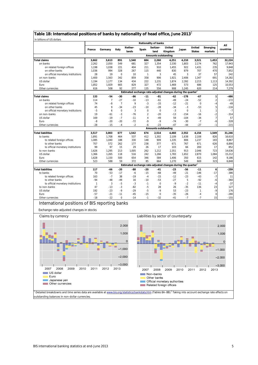### **Table 1B: International positions of banks by nationality of head office, June 2013**<sup>1</sup>

| In billions of US dollars                             |                |                |                |                  |                | Nationality of banks                |                                                                          |                |                         |                     |                  |
|-------------------------------------------------------|----------------|----------------|----------------|------------------|----------------|-------------------------------------|--------------------------------------------------------------------------|----------------|-------------------------|---------------------|------------------|
|                                                       | France         | Germany        | Italy          | Nether-<br>lands | Spain          | Switzer-<br>land                    | United<br>Kingdom                                                        | Japan          | United<br><b>States</b> | Emerging<br>markets | All<br>countries |
|                                                       |                |                |                |                  |                | <b>Amounts outstanding</b>          |                                                                          |                |                         |                     |                  |
| <b>Total claims</b>                                   | 3,662          | 3,613          | 891            | 1,540            | 684            | 2,260                               | 4,251                                                                    | 4,210          | 3,521                   | 1,453               | 32,224           |
| on banks                                              | 2,262          | 2,050          | 549            | 681              | 327            | 1,354                               | 2,330                                                                    | 1,803          | 2,174                   | 762                 | 17,943           |
| on related foreign offices                            | 1,198          | 1,038          | 221            | 404              | 211            | 910                                 | 1,455                                                                    | 922            | 1,431                   | 235                 | 9,848            |
| on other banks                                        | 1,036          | 994            | 328            | 267              | 115            | 440                                 | 830                                                                      | 879            | 707                     | 470                 | 7,852            |
| on official monetary institutions                     | 28             | 19             | $\mathbf 0$    | 10               | $\mathbf{1}$   | 3                                   | 45                                                                       | 3              | 37                      | 57                  | 242              |
| on non-banks                                          | 1,400          | 1,563          | 342            | 859              | 358            | 906                                 | 1,921                                                                    | 2,406          | 1,347                   | 691                 | 14,282           |
| US dollar<br>Euro                                     | 1,194<br>1,852 | 1,177<br>1,929 | 134<br>665     | 434<br>829       | 222<br>327     | 1,231<br>472                        | 1,874<br>1,469                                                           | 2,392<br>573   | 2,215<br>686            | 1,113<br>125        | 14,392<br>10,553 |
| Other currencies                                      | 616            | 508            | 92             | 277              | 135            | 556                                 | 908                                                                      | 1,245          | 620                     | 214                 | 7,279            |
|                                                       |                |                |                |                  |                |                                     | Estimated exchange rate-adjusted changes during the quarter <sup>2</sup> |                |                         |                     |                  |
| <b>Total claims</b>                                   | 133            | $-54$          | -30            | -86              | $-11$          | -81                                 | $-62$                                                                    | $-178$         | $-67$                   | 1                   | -486             |
| on banks                                              | 114            | $\overline{7}$ | $-27$          | $-10$            | $-13$          | $-61$                               | $-49$                                                                    | $-24$          | $-52$                   | $\overline{a}$      | $-172$           |
| on related foreign offices                            | 74             | -8             | $\overline{7}$ | 9                | $-3$           | $-33$                               | $-12$                                                                    | $-21$          | $\bf 0$                 | -4                  | $-49$            |
| on other banks                                        | 45             | 9              | $-34$          | $-23$            | $-10$          | $-28$                               | -34                                                                      | $-3$           | $-53$                   | 5                   | $-116$           |
| on official monetary institutions                     | $-5$           | 6              | $\mathbf 0$    | 3                | $\mathbf 0$    | $\mathbf 0$                         | $-3$                                                                     | $\mathbf 0$    | $\mathbf{1}$            | 1                   | $-7$             |
| on non-banks                                          | 19             | -61            | $-3$           | $-76$            | $\overline{2}$ | $-20$                               | $-13$                                                                    | $-154$         | $-16$                   | $-2$                | $-314$           |
| US dollar                                             | 169            | $-19$          | $-7$           | $-11$            | $\overline{4}$ | $-49$                               | 59                                                                       | $-104$         | $-34$                   | $\overline{7}$      | 57               |
| Euro                                                  | -8             | $-20$          | $-20$          | $-72$            | $-9$           | $-9$                                | $-74$                                                                    | $-30$          | $-7$                    | -6                  | $-328$           |
| Other currencies                                      | $-28$          | $-15$          | $-4$           | $-2$             | -6             | $-23$<br><b>Amounts outstanding</b> | $-47$                                                                    | $-44$          | $-27$                   | $-1$                | $-215$           |
| <b>Total liabilities</b>                              | 3,517          | 3,003          | 677            | 1,542            | 674            | 2,514                               | 4,460                                                                    | 2,552          | 4,154                   | 1,549               | 31,246           |
| to banks                                              | 1,891          | 1,708          | 464            | 537              | 412            | 1,302                               | 2,109                                                                    | 1,638          | 2,108                   | 826                 | 16,610           |
| to related foreign offices                            | 1,085          | 1,040          | 188            | 330              | 148            | 909                                 | 1,335                                                                    | 806            | 1,237                   | 183                 | 8,867            |
| to other banks                                        | 707            | 572            | 262            | 177              | 238            | 377                                 | 671                                                                      | 767            | 671                     | 626                 | 6,890            |
| to official monetary institutions                     | 99             | 97             | 15             | 29               | 26             | 17                                  | 103                                                                      | 66             | 200                     | 17                  | 852              |
| to non-banks                                          | 1,626          | 1,295          | 213            | 1,005            | 262            | 1,212                               | 2,351                                                                    | 913            | 2,046                   | 723                 | 14,636           |
| US dollar                                             | 1,366          | 1,265          | 118            | 516              | 242            | 1,266                               | 1,783                                                                    | 1,652          | 2,870                   | 1,084               | 15,212           |
| Euro                                                  | 1,628          | 1,150          | 500            | 654              | 346            | 584                                 | 1,406                                                                    | 350            | 615                     | 142                 | 9,186            |
| Other currencies                                      | 523            | 588            | 59             | 372              | 85             | 664                                 | 1,270                                                                    | 549            | 669                     | 323                 | 6,848            |
|                                                       |                |                |                |                  |                |                                     | Estimated exchange rate-adjusted changes during the quarter <sup>2</sup> |                |                         |                     |                  |
| <b>Total liabilities</b>                              | 117            | -66            | -20            | $-88$            | $-20$          | $-41$                               | $-23$                                                                    | $-56$          | $-11$                   | 6                   | $-259$           |
| to banks                                              | 70<br>163      | $-53$<br>$-7$  | $-17$<br>38    | $-6$<br>$-19$    | $-15$<br>$-4$  | $-68$<br>$-15$                      | $-49$<br>$-12$                                                           | $-21$<br>$-23$ | $-146$<br>$-43$         | $-17$<br>$-7$       | $-386$<br>11     |
| to related foreign offices<br>to other banks          | $-94$          | $-48$          | $-49$          | 16               | $-10$          | $-53$                               | $-27$                                                                    | 5              | $-92$                   | -6                  | $-360$           |
| to official monetary institutions                     | $\mathbf{1}$   | 3              | $-5$           | $-3$             | $-1$           | $\mathsf{O}\xspace$                 | $-9$                                                                     | $-2$           | $-11$                   | $-4$                | $-37$            |
| to non-banks                                          | 47             | $-13$          | $-3$           | -82              | $-5$           | 28                                  | 26                                                                       | $-35$          | 136                     | 23                  | 127              |
| US dollar                                             | 192            | $-23$          | $-9$           | $-29$            | $-5$           | -9                                  | 53                                                                       | $-23$          | 1                       | -9                  | 176              |
| Euro                                                  | $-57$          | $-21$          | $-11$          | $-45$            | $-15$          | $\mathbf 0$                         | $-35$                                                                    | $-26$          | $-4$                    | $\mathbf 0$         | $-280$           |
| Other currencies                                      | $-18$          | $-22$          | $\mathbf 0$    | $-14$            | $-1$           | $-32$                               | $-41$                                                                    | $-7$           | $-7$                    | 15                  | $-155$           |
| International positions of BIS reporting banks        |                |                |                |                  |                |                                     |                                                                          |                |                         |                     |                  |
| Exchange rate-adjusted changes in stocks              |                |                |                |                  |                |                                     |                                                                          |                |                         |                     |                  |
| Claims by currency                                    |                |                |                |                  |                |                                     | Liabilities by sector of counterparty                                    |                |                         |                     |                  |
|                                                       |                |                | 2,000          |                  |                |                                     |                                                                          |                |                         |                     | 2,000            |
|                                                       |                |                |                |                  |                |                                     |                                                                          |                |                         |                     |                  |
|                                                       |                |                | 1,000          |                  |                |                                     |                                                                          |                |                         |                     | 1,000            |
|                                                       |                |                |                | 0                |                |                                     |                                                                          |                |                         |                     | 0                |
|                                                       |                |                | $-1,000$       |                  |                |                                     |                                                                          |                |                         |                     | $-1,000$         |
|                                                       |                |                | $-2,000$       |                  |                |                                     |                                                                          |                |                         |                     | $-2,000$         |
|                                                       |                |                | $-3,000$       |                  |                |                                     |                                                                          |                |                         |                     | $-3,000$         |
| 2009<br>2007<br>2008<br>2010                          | 2011           | 2012           | 2013           |                  | 2007           | 2008                                | 2009                                                                     | 2010           | 2011                    | 2012<br>2013        |                  |
| US dollar<br>Euro<br>Japanese yen<br>Other currencies |                |                |                |                  |                | Non-banks<br>Other banks            | Official monetary authorities<br>Related foreign offices                 |                |                         |                     |                  |

<sup>1</sup> Detailed breakdowns and time series data are available at www.bis.org/statistics/bankstats.htm (Tables 8A-8B).<sup>2</sup> Taking into account exchange rate effects on outstanding balances in non-dollar currencies.

 $\overline{\phantom{a}}$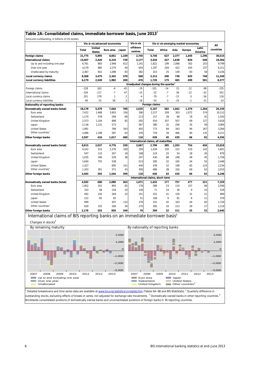| Table 2A: Consolidated claims, immediate borrower basis, June 2013 <sup>1</sup> |  |  |
|---------------------------------------------------------------------------------|--|--|
|---------------------------------------------------------------------------------|--|--|

Amounts outstanding, in billions of US dollars

|                                                                                         |        |                         | Vis-à-vis advanced economies |                | Vis-à-vis                                          |                                      |        |       | Vis-à-vis emerging market economies |                  | All              |
|-----------------------------------------------------------------------------------------|--------|-------------------------|------------------------------|----------------|----------------------------------------------------|--------------------------------------|--------|-------|-------------------------------------|------------------|------------------|
|                                                                                         | Total  | United<br><b>States</b> | Euro area                    | Japan          | offshore<br>centres                                | Total                                | Africa | Asia  | <b>Europe</b>                       | Latin<br>America | countries        |
| Foreign claims                                                                          | 21,775 | 5,895                   | 8,661                        | 1,109          | 2,745                                              | 5,746                                | 627    | 2,377 | 1,445                               | 1,296            | 30,515           |
| <b>International claims</b>                                                             | 13,407 | 2,420                   | 6,319                        | 739            | 2,177                                              | 3,434                                | 427    | 1,638 | 820                                 | 548              | 19,266           |
| Up to and including one year                                                            | 6,761  | 883                     | 2,948                        | 612            | 1,141                                              | 1,822                                | 199    | 1,068 | 302                                 | 253              | 9,799            |
| Over one year                                                                           | 4,279  | 885                     | 2,274                        | 44             | 654                                                | 1,297                                | 204    | 422   | 435                                 | 237              | 6,311            |
| Unallocated by maturity                                                                 | 2,367  | 652                     | 1,098                        | 83             | 382                                                | 315                                  | 25     | 149   | 83                                  | 58               | 3,156            |
| Local currency claims                                                                   | 8,368  | 3,475                   | 2,342                        | 370            | 568                                                | 2,312                                | 200    | 739   | 625                                 | 748              | 11,249           |
| Local currency liabilities                                                              | 6,179  | 2,549                   | 1,982                        | 200            | 476                                                | 1,720                                | 175    | 465   | 499                                 | 581              | 8,377            |
|                                                                                         |        |                         |                              |                | Unadjusted changes during the quarter <sup>2</sup> |                                      |        |       |                                     |                  |                  |
| Foreign claims                                                                          | $-128$ | 163                     | -6                           | $-45$          | $-19$                                              | $-101$                               | $-14$  | 23    | $-12$                               | -98              | $-235$           |
| International claims                                                                    | $-329$ | $-117$                  | $-7$                         | $-47$          | $-15$                                              | $-22$                                | $-7$   | 38    | $-12$                               | $-42$            | $-352$           |
| Local currency claims                                                                   | 201    | 279                     | $\mathcal I$                 | $\overline{2}$ | $-4$                                               | $-79$                                | $-7$   | $-15$ | 0                                   | -56              | 118              |
| Local currency liabilities                                                              | 49     | -15                     | 58                           | 3              | $-18$                                              | $-54$                                | $-3$   | -19   | $-1$                                | $-31$            | $-24$            |
| Nationality of reporting banks:                                                         |        |                         |                              |                |                                                    | Foreign claims                       |        |       |                                     |                  |                  |
| Domestically owned banks (total)                                                        | 18,178 | 5,479                   | 7,044                        | 709            | 2,635                                              | 5,107                                | 582    | 1,942 | 1,379                               | 1,204            | 26,159           |
| Euro area                                                                               | 7,422  | 1,468                   | 3,903                        | 156            | 396                                                | 2,157                                | 209    | 303   | 1,072                               | 574              | 10,112           |
| Switzerland                                                                             | 1,170  | 578                     | 294                          | 66             | 213                                                | 157                                  | 28     | 68    | 19                                  | 42               | 1,550            |
| United Kingdom                                                                          | 2,373  | 1,104                   | 898                          | 82             | 592                                                | 910                                  | 207    | 507   | 69                                  | 127              | 3,918            |
| Japan                                                                                   | 2,136  | 1,131                   | 573                          |                | 567                                                | 380                                  | 32     | 256   | 35                                  | 58               | 3,084            |
| <b>United States</b>                                                                    | 1,991  |                         | 789                          | 343            | 492                                                | 773                                  | 69     | 343   | 94                                  | 267              | 3,284            |
| Other countries <sup>3</sup>                                                            | 3,086  | 1,198                   | 587                          | 63             | 376                                                | 729                                  | 39     | 466   | 90                                  | 135              | 4,211            |
| Other foreign banks                                                                     | 3,597  | 416                     | 1,617                        | 400            | 110                                                | 639                                  | 45     | 435   | 66                                  | 92               | 4,356            |
|                                                                                         |        |                         |                              |                |                                                    | International claims, all maturities |        |       |                                     |                  |                  |
| Domestically owned banks (total)                                                        | 9,915  | 2,027                   | 4,776                        | 339            | 2,067                                              | 2,799                                | 385    | 1,203 | 754                                 | 456              | 15,018           |
| Euro area                                                                               | 4,162  | 515                     | 2,376                        | 100            | 359                                                | 1,034                                | 150    | 222   | 519                                 | 142              | 5,691            |
| Switzerland                                                                             | 547    | 110                     | 267                          | 18             | 198                                                | 124                                  | 25     | 54    | 18                                  | 26               | 879              |
| United Kingdom                                                                          | 1,035  | 346                     | 528                          | 38             | 247                                                | 430                                  | 88     | 248   | 49                                  | 45               | 1,756            |
| Japan                                                                                   | 1,640  | 755                     | 538                          |                | 523                                                | 285                                  | 32     | 165   | 34                                  | 55               | 2,448            |
| <b>United States</b>                                                                    | 1,327  |                         | 695                          | 141            | 440                                                | 439                                  | 52     | 198   | 65                                  | 124              | 2,234            |
| Other countries <sup>3</sup>                                                            | 1,203  | 301                     | 371                          | 43             | 300                                                | 486                                  | 38     | 316   | 69                                  | 63               | 2,010            |
| Other foreign banks                                                                     | 3,493  | 393                     | 1,544                        | 399            | 110                                                | 636                                  | 43     | 435   | 66                                  | 92               | 4,248            |
|                                                                                         |        |                         |                              |                |                                                    | International claims, short-term     |        |       |                                     |                  |                  |
| Domestically owned banks (total)                                                        | 4,583  | 680                     | 2,089                        | 263            | 1,071                                              | 1,432                                | 177    | 757   | 277                                 | 221              | 7,159            |
| Euro area                                                                               | 1,902  | 241                     | 893                          | 65             | 178                                                | 386                                  | 53     | 110   | 157                                 | 66               | 2,506            |
| Switzerland                                                                             | 310    | 48                      | 154                          | 10             | 146                                                | 71                                   | 19     | 30    | 9                                   | 14               | 529              |
| United Kingdom                                                                          | 492    | 150                     | 264                          | 23             | 151                                                | 252                                  | 41     | 159   | 31                                  | 21               | 899              |
| Japan                                                                                   | 222    | 85                      | 65                           |                | 51                                                 | 106                                  | 6      | 81    | 8                                   | 11               | 379              |
| <b>United States</b>                                                                    | 999    |                         | 507                          | 132            | 376                                                | 331                                  | 42     | 163   | 44                                  | 82               | 1,726            |
| Other countries <sup>3</sup>                                                            | 659    | 155                     | 206                          | 34             | 170                                                | 285                                  | 16     | 213   | 29                                  | 27               | 1,119            |
| Other foreign banks                                                                     | 2,178  | 203                     | 859                          | 349            | 70                                                 | 390                                  | 22     | 311   | 25                                  | 32               | 2,640            |
| International claims of BIS reporting banks on an immediate borrower basis <sup>4</sup> |        |                         |                              |                |                                                    |                                      |        |       |                                     |                  |                  |
| Changes in stocks <sup>2</sup>                                                          |        |                         |                              |                |                                                    |                                      |        |       |                                     |                  |                  |
|                                                                                         |        |                         |                              |                |                                                    |                                      |        |       |                                     |                  |                  |
| By remaining maturity                                                                   |        |                         |                              |                | By nationality of reporting banks                  |                                      |        |       |                                     |                  |                  |
|                                                                                         |        |                         |                              | 2,000          |                                                    |                                      |        |       |                                     |                  | 2,000            |
|                                                                                         |        |                         |                              |                |                                                    |                                      |        |       |                                     |                  |                  |
|                                                                                         |        |                         |                              | 1,000          |                                                    |                                      |        |       |                                     |                  | 1,000            |
|                                                                                         |        |                         |                              | $\mathbf O$    |                                                    |                                      |        |       |                                     |                  | $\Omega$         |
|                                                                                         |        |                         |                              | $-1,000$       |                                                    | ▬                                    |        |       |                                     |                  | $-1,000$         |
|                                                                                         |        |                         |                              | $-2,000$       |                                                    |                                      |        |       |                                     |                  | $-2,000$         |
|                                                                                         |        |                         |                              |                |                                                    |                                      |        |       |                                     |                  |                  |
| 2007<br>2008<br>2009<br>2010                                                            | 2011   | 2012                    | 2013                         | $-3,000$       | 2007                                               | 2008                                 | 2009   | 2010  | 2011                                | 2012             | $-3,000$<br>2013 |
|                                                                                         |        |                         |                              |                |                                                    |                                      |        |       |                                     |                  |                  |

 $^1$  Detailed breakdowns and time series data are available at www.bis.org/statistics/consstats.htm (Tables 9A–9B and BIS WebStats).  $^2$  Quarterly difference in outstanding stocks, excluding effects of breaks in series, not adjusted for exchange rate movements. <sup>3</sup> Domestically owned banks in other reporting countries. <sup>4</sup> Worldwide consolidated positions of domestically owned banks and unconsolidated positions of foreign banks in 30 reporting countries.

Euro area Switzerland United Kingdom **Lapan United States**  $\Box$  Other countries<sup>3</sup>

Up to and including one year Over one year Unallocated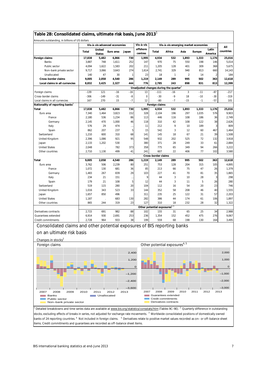| Amounts outstanding, in billions of US dollars                           |                |                               |                              |                     |                     |                                                    |                                                   |               |               |                                |                  |
|--------------------------------------------------------------------------|----------------|-------------------------------|------------------------------|---------------------|---------------------|----------------------------------------------------|---------------------------------------------------|---------------|---------------|--------------------------------|------------------|
|                                                                          |                |                               | Vis-à-vis advanced economies |                     | Vis-à-vis           |                                                    | Vis-à-vis emerging market economies               |               |               |                                | All              |
|                                                                          | Total          | United<br><b>States</b>       | Euro area                    | Japan               | offshore<br>centres | Total                                              | Africa                                            | Asia          | <b>Europe</b> | Latin<br>America               | countries        |
| Foreign claims                                                           | 17,838         | 5,482                         | 6,866                        | 730                 | 1,995               | 4,934                                              | 532                                               | 1,893         | 1,333         | 1,176                          | 25,016           |
| Banks                                                                    | 3,887          | 748                           | 1,611                        | 252                 | 147                 | 970                                                | 75                                                | 550           | 198           | 146                            | 5,014            |
| Public sector                                                            | 4,094          | 1,622                         | 1,583                        | 202                 | 211                 | 1,205                                              | 128                                               | 401           | 309           | 368                            | 5,675            |
| Non-bank private sector<br>Unallocated                                   | 9,717<br>140   | 3,066<br>47                   | 3,643<br>30                  | 274<br>$\mathbf{1}$ | 1,614<br>23         | 2,741<br>18                                        | 329<br>$\mathbf{1}$                               | 940<br>2      | 813<br>14     | 660<br>$\overline{\mathbf{c}}$ | 14,143<br>184    |
| <b>Cross-border claims</b>                                               | 9,005          | 2,058                         | 4,540                        | 286                 | 1,219               | 2,149                                              | 289                                               | 995           | 502           | 363                            | 12,618           |
| Local claims in all currencies                                           | 8,832          | 3,425                         | 2,327                        | 444                 | 776                 | 2,785                                              | 243                                               | 898           | 831           | 813                            | 12,399           |
|                                                                          |                |                               |                              |                     |                     | Unadjusted changes during the quarter <sup>2</sup> |                                                   |               |               |                                |                  |
| Foreign claims                                                           | $-139$         | 121                           | $-16$                        | $-16$               | 13                  | $-111$                                             | -16                                               | $\mathfrak z$ | $-11$         | $-87$                          | $-217$           |
| Cross-border claims                                                      | $-306$         | $-149$                        | $-31$                        | -8                  | 0                   | $-30$                                              | $-9$                                              | 18            | $-10$         | $-30$                          | $-319$           |
| Local claims in all currencies                                           | 167            | 270                           | 15                           | $-7$                | 12                  | -80                                                | $-7$                                              | $-15$         | $-1$          | -57                            | 101              |
| Nationality of reporting banks <sup>3</sup>                              |                |                               |                              |                     |                     | Foreign claims                                     |                                                   |               |               |                                |                  |
| Total                                                                    | 17,838         | 5,482                         | 6,866                        | 730                 | 1,995               | 4,934                                              | 532                                               | 1,893         | 1,333         | 1,176                          | 25,016           |
| Euro area                                                                | 7,340          | 1,464                         | 3,823                        | 152                 | 328                 | 2,104                                              | 196                                               | 297           | 1,035         | 576                            | 9,903            |
| France                                                                   | 2,180          | 536                           | 1,234                        | 86                  | 113                 | 446                                                | 116                                               | 108           | 186           | 36                             | 2,749            |
| Germany                                                                  | 2,145<br>576   | 470<br>29                     | 1,000<br>474                 | 46                  | 118<br>11           | 310<br>212                                         | 42<br>9                                           | 108<br>10     | 122<br>189    | 38<br>3                        | 2,626<br>809     |
| Italy<br>Spain                                                           | 862            | 207                           | 237                          | $\cdots$<br>5       | 15                  | 542                                                | 3                                                 | 12            | 60            | 467                            | 1,464            |
| Switzerland                                                              | 1,210          | 600                           | 310                          | 68                  | 141                 | 145                                                | 18                                                | 67            | 21            | 39                             | 1,508            |
| United Kingdom                                                           | 2,396          | 1,086                         | 921                          | 95                  | 548                 | 932                                                | 202                                               | 525           | 72            | 132                            | 3,918            |
| Japan                                                                    | 2,133          | 1,202                         | 530                          |                     | 380                 | 371                                                | 28                                                | 249           | 33            | 61                             | 2,884            |
| <b>United States</b>                                                     | 2,048          |                               | 782                          | 373                 | 358                 | 775                                                | 65                                                | 349           | 94            | 266                            | 3,222            |
| Other countries                                                          | 2,710          | 1,130                         | 499                          | 41                  | 241                 | 607                                                | 22                                                | 406           | 77            | 102                            | 3,580            |
|                                                                          |                |                               |                              |                     |                     | Cross-border claims                                |                                                   |               |               |                                |                  |
| Total                                                                    | 9,005          | 2,058                         | 4,540                        | 286                 | 1,219               | 2,149                                              | 289                                               | 995           | 502           | 363                            | 12,618           |
| Euro area                                                                | 3,762          | 506                           | 2,239                        | 80                  | 251                 | 753                                                | 128                                               | 204           | 315           | 105                            | 4,895            |
| France                                                                   | 1,072          | 130                           | 681                          | 36                  | 85                  | 213                                                | 66                                                | 75            | 47            | 26                             | 1,379            |
| Germany                                                                  | 1,483          | 267                           | 839                          | 29                  | 103                 | 227                                                | 41                                                | 70            | 81            | 35                             | 1,865            |
| Italy                                                                    | 234            | 21                            | 151                          | $\ddotsc$           | 9                   | 44                                                 | 3                                                 | 10            | 28            | 3                              | 298              |
| Spain                                                                    | 179            | 21                            | 108                          | 5                   | 12                  | 44                                                 | 3                                                 | 11            | 5             | 26                             | 280              |
| Switzerland                                                              | 519            | 115                           | 280                          | 20                  | 104                 | 112                                                | 16                                                | 54            | 20            | 23                             | 746              |
| United Kingdom<br>Japan                                                  | 1,016<br>1,657 | 343<br>850                    | 523<br>496                   | 33                  | 144<br>311          | 352<br>235                                         | 58<br>25                                          | 208<br>122    | 46<br>31      | 40<br>57                       | 1,555<br>2,203   |
| <b>United States</b>                                                     | 1,187          |                               | 683                          | 130                 | 282                 | 386                                                | 44                                                | 174           | 61            | 106                            | 1,897            |
| Other countries                                                          | 865            | 244                           | 319                          | 23                  | 127                 | 310                                                | 18                                                | 232           | 28            | 32                             | 1,322            |
|                                                                          |                |                               |                              |                     |                     | Other potential exposures <sup>4, 5</sup>          |                                                   |               |               |                                |                  |
| Derivatives contracts                                                    | 2,715          | 691                           | 982                          | 88                  | 102                 | 155                                                | 31                                                | 65            | 25            | 34                             | 2,988            |
| Guarantees extended                                                      | 6,914          | 930                           | 2,691                        | 253                 | 236                 | 1,354                                              | 152                                               | 452           | 475           | 276                            | 9,067            |
| Credit commitments                                                       | 2,728          | 964                           | 933                          | 38                  | 199                 | 559                                                | 68                                                | 198           | 130           | 164                            | 3,495            |
| Consolidated claims and other potential exposures of BIS reporting banks |                |                               |                              |                     |                     |                                                    |                                                   |               |               |                                |                  |
| on an ultimate risk basis                                                |                |                               |                              |                     |                     |                                                    |                                                   |               |               |                                |                  |
| Changes in stocks <sup>2</sup><br>Foreign claims                         |                |                               |                              |                     |                     | Other potential exposures <sup>4, 5</sup>          |                                                   |               |               |                                |                  |
|                                                                          |                |                               |                              | 2,400               |                     |                                                    |                                                   |               |               |                                | 2,000            |
|                                                                          |                |                               |                              | 1,200               |                     |                                                    |                                                   |               |               |                                | 1,000            |
|                                                                          |                |                               |                              |                     | $\mathbf 0$         |                                                    |                                                   |               |               |                                | 0                |
|                                                                          |                |                               |                              | $-1,200$            |                     |                                                    |                                                   |               |               |                                | $-1,000$         |
|                                                                          |                |                               |                              | $-2,400$            |                     |                                                    |                                                   |               |               |                                | $-2,000$         |
| 2007<br>2008<br>2009<br><b>Banks</b><br>Public sector                    | 2010           | 2011<br>Unallocated<br>a sa T | 2012                         | $-3,600$<br>2013    | 2007                | 2008                                               | 2009<br>Guarantees extended<br>Credit commitments | 2010          | 2011          | 2012                           | $-3,000$<br>2013 |
| Non-bank private sector                                                  |                |                               |                              |                     |                     |                                                    | Derivatives contracts                             |               |               |                                |                  |

stocks, excluding effects of breaks in series, not adjusted for exchange rate movements. <sup>3</sup> Worldwide consolidated positions of domestically owned banks of 24 reporting countries. <sup>4</sup> Not included in foreign claims. <sup>5</sup> Derivatives relate to positive market values recorded as on– or off-balance sheet items. Credit commitments and guarantees are recorded as off–balance sheet items.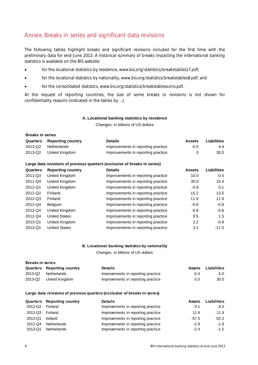### Annex: Breaks in series and significant data revisions

The following tables highlight breaks and significant revisions included for the first time with the preliminary data for end-June 2013. A historical summary of breaks impacting the international banking statistics is available on the BIS website:

- for the locational statistics by residence, www.bis.org/statistics/breakstables17.pdf;
- for the locational statistics by nationality, www.bis.org/statistics/breakstables8.pdf; and
- for the consolidated statistics, www.bis.org/statistics/breakstablescons.pdf.

At the request of reporting countries, the size of some breaks or revisions is not shown for confidentiality reasons (indicated in the tables by …).

#### **A. Locational banking statistics by residence**

Changes, in billions of US dollars

| <b>Breaks in series</b> |                            |                                    |               |             |  |  |  |
|-------------------------|----------------------------|------------------------------------|---------------|-------------|--|--|--|
|                         | Quarters Reporting country | <b>Details</b>                     | <b>Assets</b> | Liabilities |  |  |  |
| 2013-Q2                 | Netherlands                | Improvements in reporting practice | $-0.5$        | 4.4         |  |  |  |
| 2013-Q2                 | United Kingdom             | Improvements in reporting practice | O             | 30.0        |  |  |  |

#### **Large data revisions of previous quarters (exclusive of breaks in series)**

| Quarters | <b>Reporting country</b> | <b>Details</b>                     | <b>Assets</b> | <b>Liabilities</b> |
|----------|--------------------------|------------------------------------|---------------|--------------------|
| 2011-Q3  | United Kingdom           | Improvements in reporting practice | 10.0          | $-0.5$             |
| 2011-Q4  | United Kingdom           | Improvements in reporting practice | 30.0          | 15.4               |
| 2012-Q1  | United Kingdom           | Improvements in reporting practice | $-0.8$        | 0.1                |
| 2012-Q2  | Finland                  | Improvements in reporting practice | 15.2          | 13.5               |
| 2012-Q3  | Finland                  | Improvements in reporting practice | 11.9          | 11.9               |
| 2012-Q4  | Belgium                  | Improvements in reporting practice | $-0.8$        | $-0.8$             |
| 2012-Q4  | United Kingdom           | Improvements in reporting practice | $-0.8$        | $-0.8$             |
| 2012-Q4  | <b>United States</b>     | Improvements in reporting practice | 0.5           | 1.5                |
| 2013-Q1  | United Kingdom           | Improvements in reporting practice | 2.2           | $-0.9$             |
| 2013-Q1  | <b>United States</b>     | Improvements in reporting practice | 3.1           | $-17.3$            |

#### **B. Locational banking statistics by nationality**

Changes, in billions of US dollars

| <b>Breaks in series</b> |                                   |                                    |               |             |  |  |  |
|-------------------------|-----------------------------------|------------------------------------|---------------|-------------|--|--|--|
|                         | <b>Quarters</b> Reporting country | <b>Details</b>                     | <b>Assets</b> | Liabilities |  |  |  |
| 2013-Q2                 | Netherlands                       | Improvements in reporting practice | $-0.4$        | 6.0         |  |  |  |
|                         | 2013-Q2 United Kingdom            | Improvements in reporting practice | 0.0           | 30.0        |  |  |  |

#### **Large data revisions of previous quarters (exclusive of breaks in series)**

|         | <b>Quarters</b> Reporting country | <b>Details</b>                     | <b>Assets</b> | Liabilities |
|---------|-----------------------------------|------------------------------------|---------------|-------------|
| 2012-Q2 | Finland                           | Improvements in reporting practice | 9.1           | 8.0         |
| 2012-Q3 | Finland                           | Improvements in reporting practice | 11.9          | 11.9        |
| 2013-Q1 | Ireland                           | Improvements in reporting practice | $-57.5$       | $-55.3$     |
| 2012-Q4 | <b>Netherlands</b>                | Improvements in reporting practice | $-2.9$        | $-1.9$      |
| 2013-Q1 | <b>Netherlands</b>                | Improvements in reporting practice | $-2.4$        | $-1.5$      |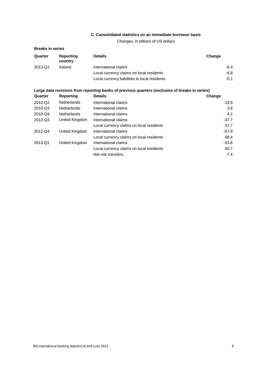### **C. Consolidated statistics on an immediate borrower basis**

Changes, in billions of US dollars

| <b>Breaks in series</b> |                      |                                                                                                |         |
|-------------------------|----------------------|------------------------------------------------------------------------------------------------|---------|
| Quarter                 | Reporting<br>country | <b>Details</b>                                                                                 | Change  |
| 2013-Q1                 | Ireland              | International claims                                                                           | $-6.4$  |
|                         |                      | Local currency claims on local residents                                                       | $-6.8$  |
|                         |                      | Local currency liabilities to local residents                                                  | $-0.1$  |
|                         |                      | Large data revisions from reporting banks of previous quarters (exclusive of breaks in series) |         |
| Quarter                 | Reporting            | <b>Details</b>                                                                                 | Change  |
| 2010-Q2                 | <b>Netherlands</b>   | International claims                                                                           | $-19.9$ |
| 2010-Q3                 | <b>Netherlands</b>   | International claims                                                                           | 3.8     |
| 2010-Q4                 | <b>Netherlands</b>   | International claims                                                                           | 4.2     |
| 2012-Q3                 | United Kingdom       | International claims                                                                           | $-37.7$ |
|                         |                      | Local currency claims on local residents                                                       | 37.7    |
| 2012-Q4                 | United Kingdom       | International claims                                                                           | $-67.9$ |
|                         |                      | Local currency claims on local residents                                                       | 68.4    |
| 2013-Q1                 | United Kingdom       | International claims                                                                           | $-53.6$ |
|                         |                      | Local currency claims on local residents                                                       | 60.7    |
|                         |                      | Net risk transfers                                                                             | $-7.4$  |